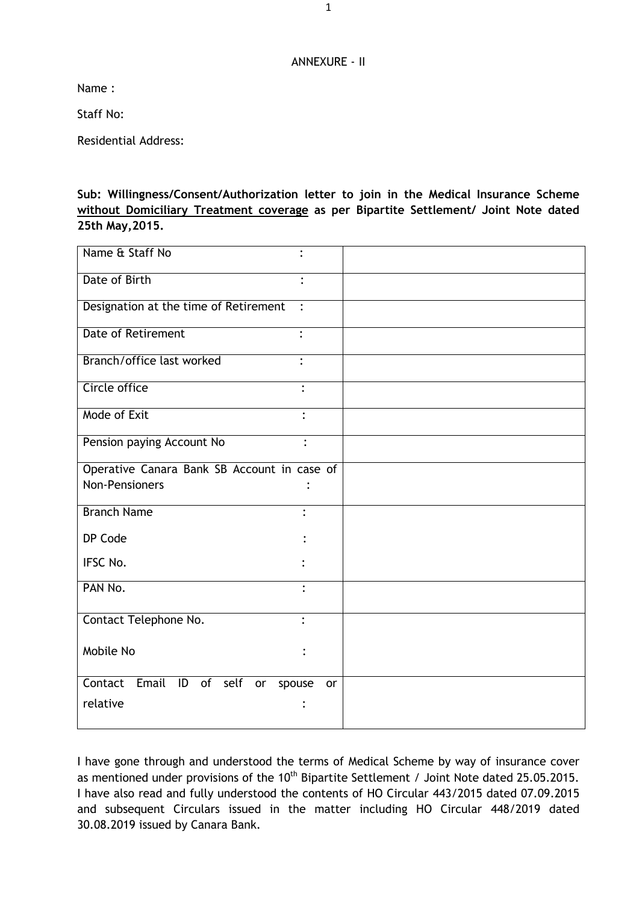## ANNEXURE - II

Name :

Staff No:

Residential Address:

**Sub: Willingness/Consent/Authorization letter to join in the Medical Insurance Scheme without Domiciliary Treatment coverage as per Bipartite Settlement/ Joint Note dated 25th May,2015.**

| Name & Staff No                             | $\ddot{\cdot}$ |
|---------------------------------------------|----------------|
| Date of Birth                               |                |
| Designation at the time of Retirement       |                |
| <b>Date of Retirement</b>                   |                |
| Branch/office last worked                   |                |
| Circle office                               | $\ddot{\cdot}$ |
| Mode of Exit                                | $\ddot{\cdot}$ |
| Pension paying Account No                   | $\ddot{\cdot}$ |
| Operative Canara Bank SB Account in case of |                |
| <b>Non-Pensioners</b>                       |                |
| <b>Branch Name</b>                          |                |
| DP Code                                     |                |
| IFSC No.                                    |                |
| PAN No.                                     | $\bullet$      |
| Contact Telephone No.                       | $\cdot$        |
| Mobile No                                   |                |
| Contact<br>Email ID of self<br>or<br>spouse | or             |
| relative                                    |                |

I have gone through and understood the terms of Medical Scheme by way of insurance cover as mentioned under provisions of the 10<sup>th</sup> Bipartite Settlement / Joint Note dated 25.05.2015. I have also read and fully understood the contents of HO Circular 443/2015 dated 07.09.2015 and subsequent Circulars issued in the matter including HO Circular 448/2019 dated 30.08.2019 issued by Canara Bank.